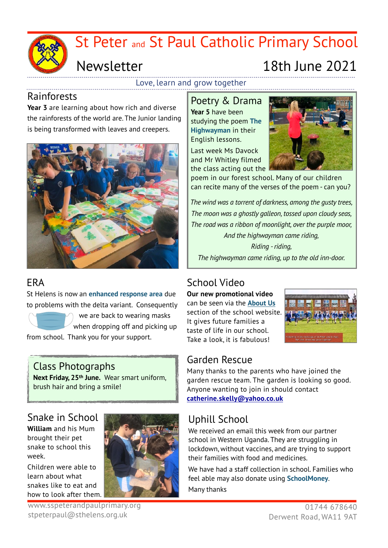

Love, learn and grow together

#### Rainforests

**Year 3** are learning about how rich and diverse the rainforests of the world are. The Junior landing is being transformed with leaves and creepers.



#### ERA

St Helens is now an **enhanced response area** due to problems with the delta variant. Consequently

 we are back to wearing masks when dropping off and picking up from school. Thank you for your support.

#### Class Photographs

**Next Friday, 25th June.** Wear smart uniform, brush hair and bring a smile!

#### Snake in School

**William** and his Mum brought their pet snake to school this week.

Children were able to learn about what snakes like to eat and how to look after them.



#### www.sspeterandpaulprimary.org stpeterpaul@sthelens.org.uk

# Poetry & Drama

**Year 5** have been studying the poem **The Highwayman** in their English lessons.

Last week Ms Davock and Mr Whitley filmed the class acting out the



poem in our forest school. Many of our children can recite many of the verses of the poem - can you?

*The wind was a torrent of darkness, among the gusty trees, The moon was a ghostly galleon, tossed upon cloudy seas, The road was a ribbon of moonlight, over the purple moor, And the highwayman came riding,* 

*Riding - riding, The highwayman came riding, up to the old inn-door.*

## School Video

**Our new promotional video** can be seen via the **[About Us](https://www.sspeterandpaulprimary.org/page/our-video/105919)** section of the school website. It gives future families a taste of life in our school. Take a look, it is fabulous!



#### Garden Rescue

Many thanks to the parents who have joined the garden rescue team. The garden is looking so good. Anyone wanting to join in should contact **[catherine.skelly@yahoo.co.uk](mailto:catherine.skelly@yahoo.co.uk)**

## Uphill School

We received an email this week from our partner school in Western Uganda. They are struggling in lockdown, without vaccines, and are trying to support their families with food and medicines.

We have had a staff collection in school. Families who feel able may also donate using **SchoolMoney**. Many thanks